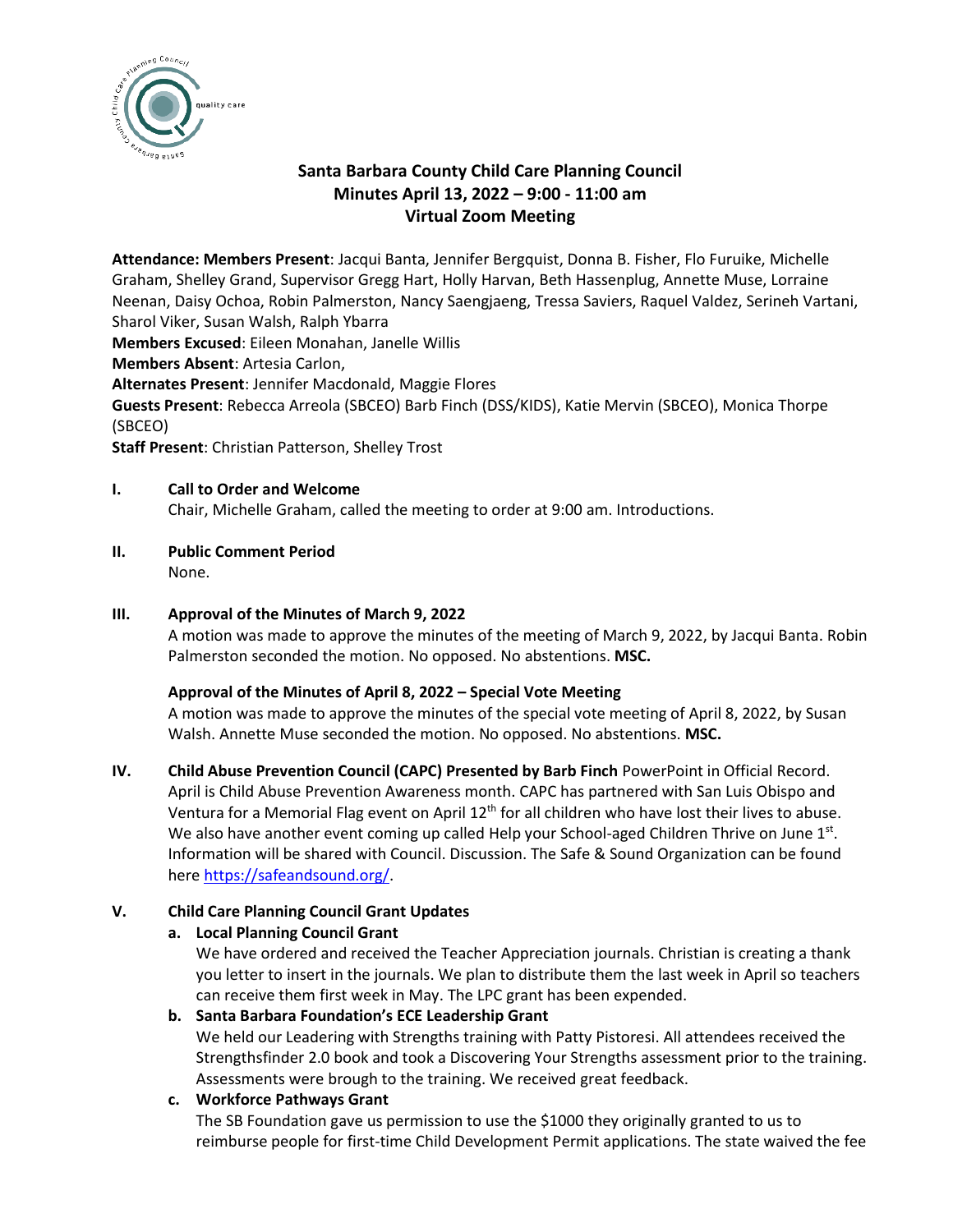

# **Santa Barbara County Child Care Planning Council Minutes April 13, 2022 – 9:00 - 11:00 am Virtual Zoom Meeting**

**Attendance: Members Present**: Jacqui Banta, Jennifer Bergquist, Donna B. Fisher, Flo Furuike, Michelle Graham, Shelley Grand, Supervisor Gregg Hart, Holly Harvan, Beth Hassenplug, Annette Muse, Lorraine Neenan, Daisy Ochoa, Robin Palmerston, Nancy Saengjaeng, Tressa Saviers, Raquel Valdez, Serineh Vartani, Sharol Viker, Susan Walsh, Ralph Ybarra

**Members Excused**: Eileen Monahan, Janelle Willis

**Members Absent**: Artesia Carlon,

**Alternates Present**: Jennifer Macdonald, Maggie Flores

**Guests Present**: Rebecca Arreola (SBCEO) Barb Finch (DSS/KIDS), Katie Mervin (SBCEO), Monica Thorpe (SBCEO)

**Staff Present**: Christian Patterson, Shelley Trost

### **I. Call to Order and Welcome**

Chair, Michelle Graham, called the meeting to order at 9:00 am. Introductions.

**II. Public Comment Period** None.

# **III. Approval of the Minutes of March 9, 2022**

A motion was made to approve the minutes of the meeting of March 9, 2022, by Jacqui Banta. Robin Palmerston seconded the motion. No opposed. No abstentions. **MSC.**

# **Approval of the Minutes of April 8, 2022 – Special Vote Meeting**

A motion was made to approve the minutes of the special vote meeting of April 8, 2022, by Susan Walsh. Annette Muse seconded the motion. No opposed. No abstentions. **MSC.**

**IV. Child Abuse Prevention Council (CAPC) Presented by Barb Finch** PowerPoint in Official Record.

April is Child Abuse Prevention Awareness month. CAPC has partnered with San Luis Obispo and Ventura for a Memorial Flag event on April 12<sup>th</sup> for all children who have lost their lives to abuse. We also have another event coming up called Help your School-aged Children Thrive on June 1st. Information will be shared with Council. Discussion. The Safe & Sound Organization can be found here [https://safeandsound.org/.](https://safeandsound.org/)

# **V. Child Care Planning Council Grant Updates**

# **a. Local Planning Council Grant**

We have ordered and received the Teacher Appreciation journals. Christian is creating a thank you letter to insert in the journals. We plan to distribute them the last week in April so teachers can receive them first week in May. The LPC grant has been expended.

#### **b. Santa Barbara Foundation's ECE Leadership Grant**

We held our Leadering with Strengths training with Patty Pistoresi. All attendees received the Strengthsfinder 2.0 book and took a Discovering Your Strengths assessment prior to the training. Assessments were brough to the training. We received great feedback.

# **c. Workforce Pathways Grant**

The SB Foundation gave us permission to use the \$1000 they originally granted to us to reimburse people for first-time Child Development Permit applications. The state waived the fee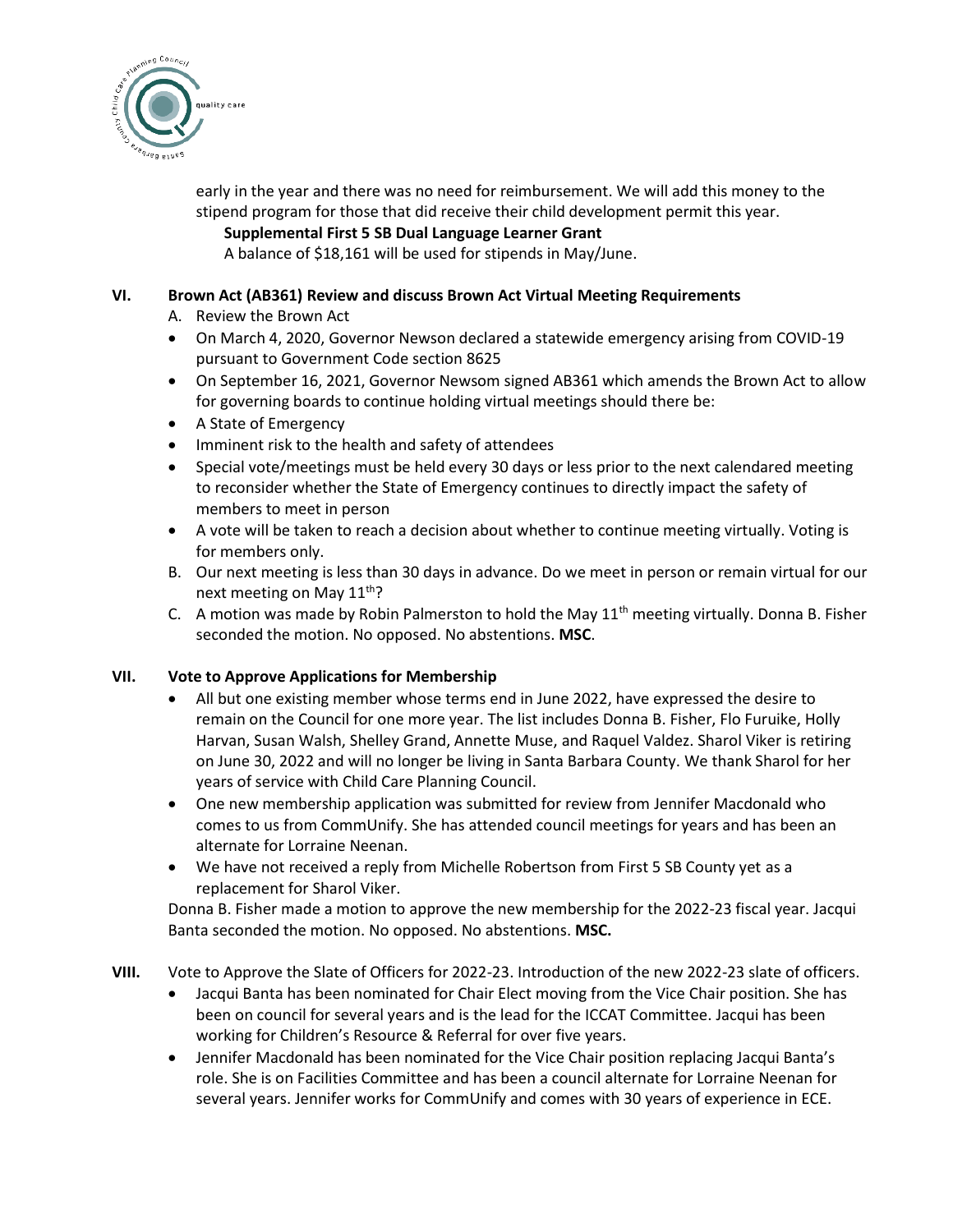

early in the year and there was no need for reimbursement. We will add this money to the stipend program for those that did receive their child development permit this year.

### **Supplemental First 5 SB Dual Language Learner Grant**

A balance of \$18,161 will be used for stipends in May/June.

### **VI. Brown Act (AB361) Review and discuss Brown Act Virtual Meeting Requirements**

- A. Review the Brown Act
- On March 4, 2020, Governor Newson declared a statewide emergency arising from COVID-19 pursuant to Government Code section 8625
- On September 16, 2021, Governor Newsom signed AB361 which amends the Brown Act to allow for governing boards to continue holding virtual meetings should there be:
- A State of Emergency
- Imminent risk to the health and safety of attendees
- Special vote/meetings must be held every 30 days or less prior to the next calendared meeting to reconsider whether the State of Emergency continues to directly impact the safety of members to meet in person
- A vote will be taken to reach a decision about whether to continue meeting virtually. Voting is for members only.
- B. Our next meeting is less than 30 days in advance. Do we meet in person or remain virtual for our next meeting on May  $11^{th}$ ?
- C. A motion was made by Robin Palmerston to hold the May  $11<sup>th</sup>$  meeting virtually. Donna B. Fisher seconded the motion. No opposed. No abstentions. **MSC**.

# **VII. Vote to Approve Applications for Membership**

- All but one existing member whose terms end in June 2022, have expressed the desire to remain on the Council for one more year. The list includes Donna B. Fisher, Flo Furuike, Holly Harvan, Susan Walsh, Shelley Grand, Annette Muse, and Raquel Valdez. Sharol Viker is retiring on June 30, 2022 and will no longer be living in Santa Barbara County. We thank Sharol for her years of service with Child Care Planning Council.
- One new membership application was submitted for review from Jennifer Macdonald who comes to us from CommUnify. She has attended council meetings for years and has been an alternate for Lorraine Neenan.
- We have not received a reply from Michelle Robertson from First 5 SB County yet as a replacement for Sharol Viker.

Donna B. Fisher made a motion to approve the new membership for the 2022-23 fiscal year. Jacqui Banta seconded the motion. No opposed. No abstentions. **MSC.** 

- **VIII.** Vote to Approve the Slate of Officers for 2022-23. Introduction of the new 2022-23 slate of officers.
	- Jacqui Banta has been nominated for Chair Elect moving from the Vice Chair position. She has been on council for several years and is the lead for the ICCAT Committee. Jacqui has been working for Children's Resource & Referral for over five years.
	- Jennifer Macdonald has been nominated for the Vice Chair position replacing Jacqui Banta's role. She is on Facilities Committee and has been a council alternate for Lorraine Neenan for several years. Jennifer works for CommUnify and comes with 30 years of experience in ECE.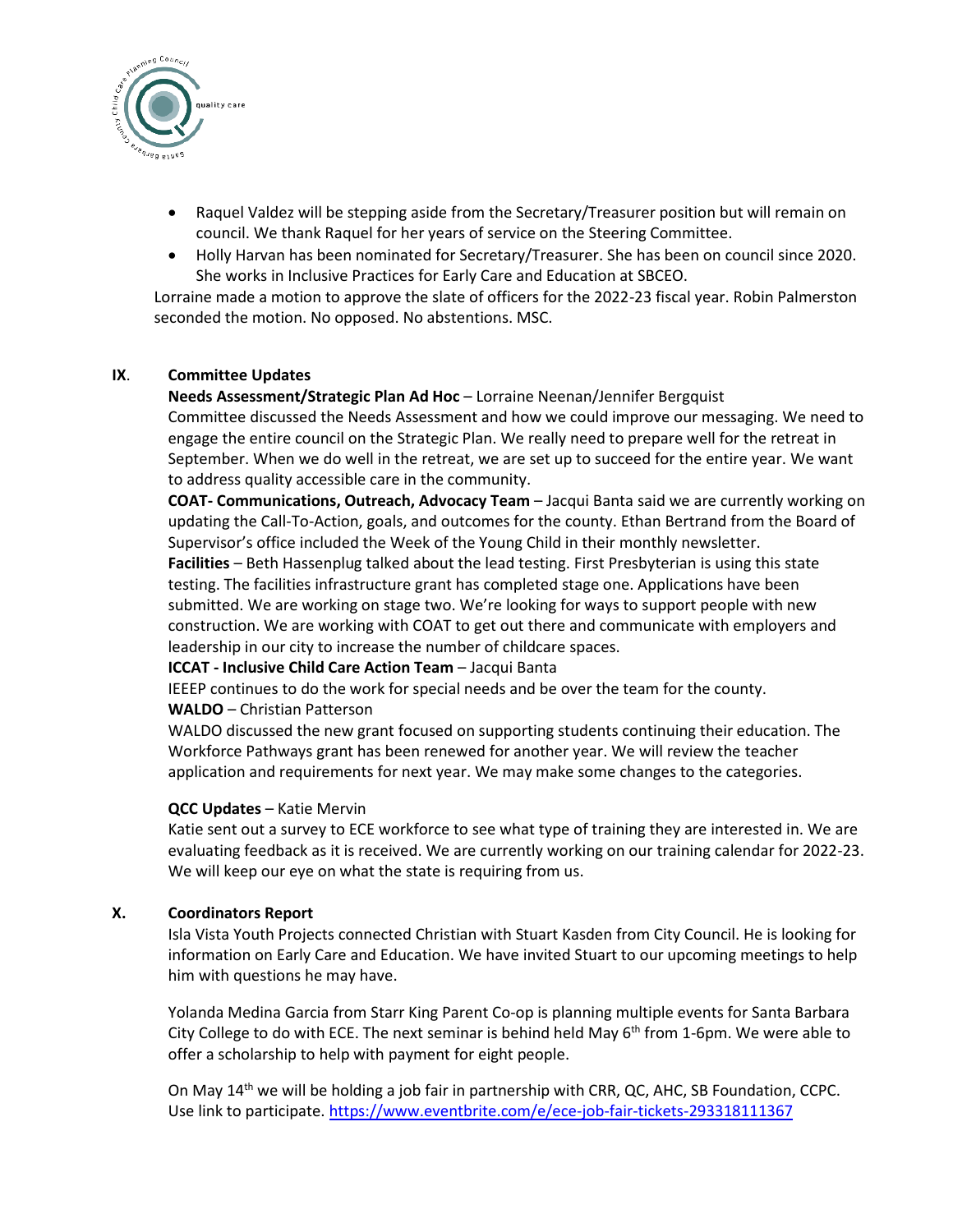

- Raquel Valdez will be stepping aside from the Secretary/Treasurer position but will remain on council. We thank Raquel for her years of service on the Steering Committee.
- Holly Harvan has been nominated for Secretary/Treasurer. She has been on council since 2020. She works in Inclusive Practices for Early Care and Education at SBCEO.

Lorraine made a motion to approve the slate of officers for the 2022-23 fiscal year. Robin Palmerston seconded the motion. No opposed. No abstentions. MSC.

#### **IX**. **Committee Updates**

#### **Needs Assessment/Strategic Plan Ad Hoc** – Lorraine Neenan/Jennifer Bergquist

Committee discussed the Needs Assessment and how we could improve our messaging. We need to engage the entire council on the Strategic Plan. We really need to prepare well for the retreat in September. When we do well in the retreat, we are set up to succeed for the entire year. We want to address quality accessible care in the community.

**COAT- Communications, Outreach, Advocacy Team** – Jacqui Banta said we are currently working on updating the Call-To-Action, goals, and outcomes for the county. Ethan Bertrand from the Board of Supervisor's office included the Week of the Young Child in their monthly newsletter.

**Facilities** – Beth Hassenplug talked about the lead testing. First Presbyterian is using this state testing. The facilities infrastructure grant has completed stage one. Applications have been submitted. We are working on stage two. We're looking for ways to support people with new construction. We are working with COAT to get out there and communicate with employers and leadership in our city to increase the number of childcare spaces.

#### **ICCAT - Inclusive Child Care Action Team** – Jacqui Banta

IEEEP continues to do the work for special needs and be over the team for the county. **WALDO** – Christian Patterson

WALDO discussed the new grant focused on supporting students continuing their education. The Workforce Pathways grant has been renewed for another year. We will review the teacher application and requirements for next year. We may make some changes to the categories.

#### **QCC Updates** – Katie Mervin

Katie sent out a survey to ECE workforce to see what type of training they are interested in. We are evaluating feedback as it is received. We are currently working on our training calendar for 2022-23. We will keep our eye on what the state is requiring from us.

#### **X. Coordinators Report**

Isla Vista Youth Projects connected Christian with Stuart Kasden from City Council. He is looking for information on Early Care and Education. We have invited Stuart to our upcoming meetings to help him with questions he may have.

Yolanda Medina Garcia from Starr King Parent Co-op is planning multiple events for Santa Barbara City College to do with ECE. The next seminar is behind held May  $6<sup>th</sup>$  from 1-6pm. We were able to offer a scholarship to help with payment for eight people.

On May  $14<sup>th</sup>$  we will be holding a job fair in partnership with CRR, QC, AHC, SB Foundation, CCPC. Use link to participate.<https://www.eventbrite.com/e/ece-job-fair-tickets-293318111367>